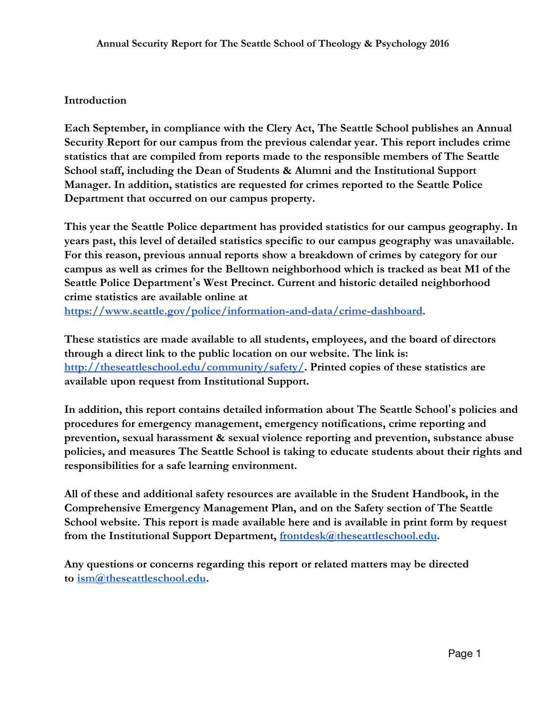#### **Introduction**

**Each September, in compliance with the Clery Act, The Seattle School publishes an Annual Security Report for our campus from the previous calendar year. This report includes crime statistics that are compiled from reports made to the responsible members of The Seattle School staff, including the Dean of Students & Alumni and the Institutional Support Manager. In addition, statistics are requested for crimes reported to the Seattle Police Department that occurred on our campus property.**

**This year the Seattle Police department has provided statistics for our campus geography. In years past, this level of detailed statistics specific to our campus geography was unavailable. For this reason, previous annual reports show a breakdown of crimes by category for our campus as well as crimes for the Belltown neighborhood which is tracked as beat M1 of the Seattle Police Department**'**s West Precinct. Current and historic detailed neighborhood crime statistics are available online at <https://www.seattle.gov/police/information-and-data/crime-dashboard>.**

**These statistics are made available to all students, employees, and the board of directors through a direct link to the public location on our website. The link is: [http://theseattleschool.edu/community/safety/.](http://theseattleschool.edu/community/safety/) Printed copies of these statistics are available upon request from Institutional Support.**

**In addition, this report contains detailed information about The Seattle School**'**s policies and procedures for emergency management, emergency notifications, crime reporting and prevention, sexual harassment & sexual violence reporting and prevention, substance abuse policies, and measures The Seattle School is taking to educate students about their rights and responsibilities for a safe learning environment.**

**All of these and additional safety resources are available in the Student Handbook, in the Comprehensive Emergency Management Plan, and on the Safety section of The Seattle School website. This report is made available here and is available in print form by request from the Institutional Support Department, [frontdesk@theseattleschool.edu.](mailto:frontdesk@theseattleschool.edu)**

**Any questions or concerns regarding this report or related matters may be directed to [ism@theseattleschool.edu.](mailto:ism@theseattleschool.edu)**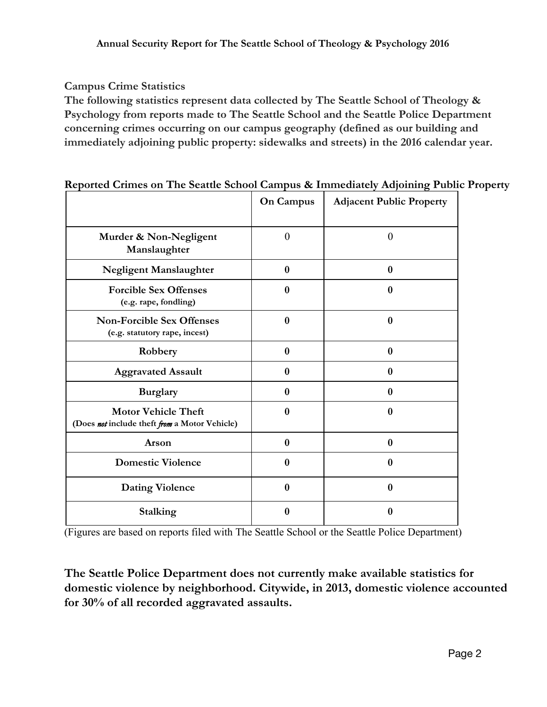### **Campus Crime Statistics**

**The following statistics represent data collected by The Seattle School of Theology & Psychology from reports made to The Seattle School and the Seattle Police Department concerning crimes occurring on our campus geography (defined as our building and immediately adjoining public property: sidewalks and streets) in the 2016 calendar year.**

|                                                                             | <b>On Campus</b> | <b>Adjacent Public Property</b> |
|-----------------------------------------------------------------------------|------------------|---------------------------------|
| Murder & Non-Negligent<br>Manslaughter                                      | $\theta$         | $\overline{0}$                  |
| Negligent Manslaughter                                                      | $\bf{0}$         | $\bf{0}$                        |
| <b>Forcible Sex Offenses</b><br>(e.g. rape, fondling)                       | $\bf{0}$         | $\bf{0}$                        |
| <b>Non-Forcible Sex Offenses</b><br>(e.g. statutory rape, incest)           | $\bf{0}$         | $\bf{0}$                        |
| Robbery                                                                     | $\bf{0}$         | $\bf{0}$                        |
| <b>Aggravated Assault</b>                                                   | $\bf{0}$         | $\bf{0}$                        |
| <b>Burglary</b>                                                             | $\bf{0}$         | $\bf{0}$                        |
| <b>Motor Vehicle Theft</b><br>(Does not include theft from a Motor Vehicle) | $\bf{0}$         | $\bf{0}$                        |
| Arson                                                                       | $\bf{0}$         | $\bf{0}$                        |
| <b>Domestic Violence</b>                                                    | $\bf{0}$         | $\bf{0}$                        |
| <b>Dating Violence</b>                                                      | $\bf{0}$         | $\bf{0}$                        |
| <b>Stalking</b>                                                             | 0                | $\bf{0}$                        |

#### **Reported Crimes on The Seattle School Campus & Immediately Adjoining Public Property**

(Figures are based on reports filed with The Seattle School or the Seattle Police Department)

**The Seattle Police Department does not currently make available statistics for domestic violence by neighborhood. Citywide, in 2013, domestic violence accounted for 30% of all recorded aggravated assaults.**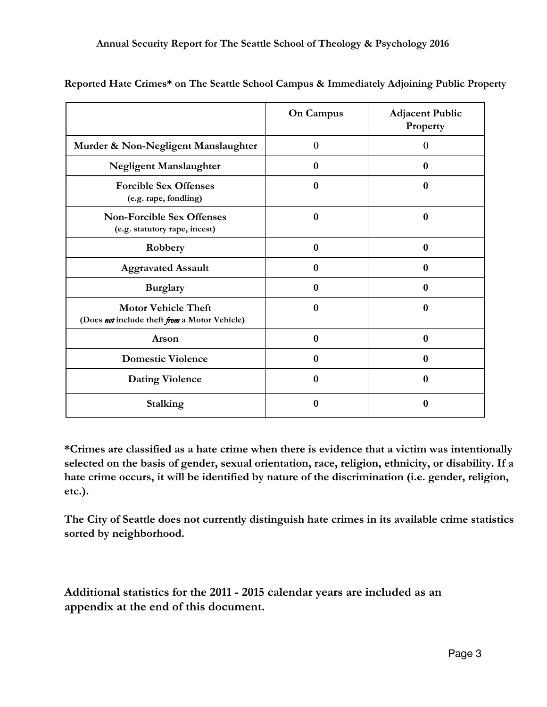|                                                                             | <b>On Campus</b> | <b>Adjacent Public</b><br>Property |
|-----------------------------------------------------------------------------|------------------|------------------------------------|
| Murder & Non-Negligent Manslaughter                                         | $\theta$         | $\Omega$                           |
| <b>Negligent Manslaughter</b>                                               | $\bf{0}$         | $\boldsymbol{0}$                   |
| <b>Forcible Sex Offenses</b><br>(e.g. rape, fondling)                       | $\bf{0}$         | $\bf{0}$                           |
| <b>Non-Forcible Sex Offenses</b><br>(e.g. statutory rape, incest)           | $\bf{0}$         | $\bf{0}$                           |
| Robbery                                                                     | $\bf{0}$         | $\bf{0}$                           |
| <b>Aggravated Assault</b>                                                   | $\bf{0}$         | $\bf{0}$                           |
| <b>Burglary</b>                                                             | $\bf{0}$         | $\bf{0}$                           |
| <b>Motor Vehicle Theft</b><br>(Does not include theft from a Motor Vehicle) | $\boldsymbol{0}$ | 0                                  |
| Arson                                                                       | $\boldsymbol{0}$ | $\bf{0}$                           |
| <b>Domestic Violence</b>                                                    | $\mathbf{0}$     | $\bf{0}$                           |
| <b>Dating Violence</b>                                                      | $\bf{0}$         | $\mathbf{0}$                       |
| <b>Stalking</b>                                                             | 0                | 0                                  |

**Reported Hate Crimes\* on The Seattle School Campus & Immediately Adjoining Public Property**

**\*Crimes are classified as a hate crime when there is evidence that a victim was intentionally selected on the basis of gender, sexual orientation, race, religion, ethnicity, or disability. If a hate crime occurs, it will be identified by nature of the discrimination (i.e. gender, religion, etc.).**

**The City of Seattle does not currently distinguish hate crimes in its available crime statistics sorted by neighborhood.**

**Additional statistics for the 2011 - 2015 calendar years are included as an appendix at the end of this document.**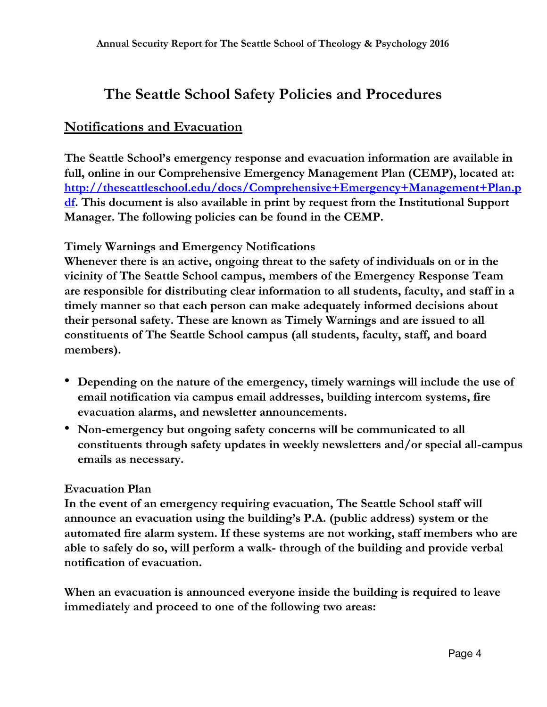# **The Seattle School Safety Policies and Procedures**

## **Notifications and Evacuation**

**The Seattle School's emergency response and evacuation information are available in full, online in our Comprehensive Emergency Management Plan (CEMP), located at: [http://theseattleschool.edu/docs/Comprehensive+Emergency+Management+Plan.p](http://theseattleschool.edu/docs/Comprehensive+Emergency+Management+Plan.pdf) [df.](http://theseattleschool.edu/docs/Comprehensive+Emergency+Management+Plan.pdf) This document is also available in print by request from the Institutional Support Manager. The following policies can be found in the CEMP.**

#### **Timely Warnings and Emergency Notifications**

**Whenever there is an active, ongoing threat to the safety of individuals on or in the vicinity of The Seattle School campus, members of the Emergency Response Team are responsible for distributing clear information to all students, faculty, and staff in a timely manner so that each person can make adequately informed decisions about their personal safety. These are known as Timely Warnings and are issued to all constituents of The Seattle School campus (all students, faculty, staff, and board members).**

- **Depending on the nature of the emergency, timely warnings will include the use of email notification via campus email addresses, building intercom systems, fire evacuation alarms, and newsletter announcements.**
- **Non-emergency but ongoing safety concerns will be communicated to all constituents through safety updates in weekly newsletters and/or special all-campus emails as necessary.**

#### **Evacuation Plan**

**In the event of an emergency requiring evacuation, The Seattle School staff will announce an evacuation using the building's P.A. (public address) system or the automated fire alarm system. If these systems are not working, staff members who are able to safely do so, will perform a walk- through of the building and provide verbal notification of evacuation.**

**When an evacuation is announced everyone inside the building is required to leave immediately and proceed to one of the following two areas:**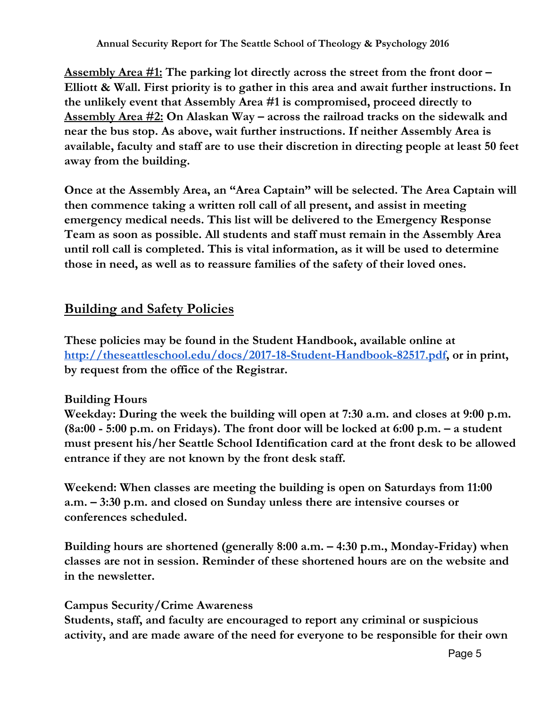**Assembly Area #1: The parking lot directly across the street from the front door – Elliott & Wall. First priority is to gather in this area and await further instructions. In the unlikely event that Assembly Area #1 is compromised, proceed directly to Assembly Area #2: On Alaskan Way – across the railroad tracks on the sidewalk and near the bus stop. As above, wait further instructions. If neither Assembly Area is available, faculty and staff are to use their discretion in directing people at least 50 feet away from the building.**

**Once at the Assembly Area, an "Area Captain" will be selected. The Area Captain will then commence taking a written roll call of all present, and assist in meeting emergency medical needs. This list will be delivered to the Emergency Response Team as soon as possible. All students and staff must remain in the Assembly Area until roll call is completed. This is vital information, as it will be used to determine those in need, as well as to reassure families of the safety of their loved ones.**

## **Building and Safety Policies**

**These policies may be found in the Student Handbook, available online at [http://theseattleschool.edu/docs/2017-18-Student-Handbook-82517.pdf,](http://theseattleschool.edu/docs/2017-18-Student-Handbook-82517.pdf) or in print, by request from the office of the Registrar.**

## **Building Hours**

**Weekday: During the week the building will open at 7:30 a.m. and closes at 9:00 p.m. (8a:00 - 5:00 p.m. on Fridays). The front door will be locked at 6:00 p.m. – a student must present his/her Seattle School Identification card at the front desk to be allowed entrance if they are not known by the front desk staff.**

**Weekend: When classes are meeting the building is open on Saturdays from 11:00 a.m. – 3:30 p.m. and closed on Sunday unless there are intensive courses or conferences scheduled.**

**Building hours are shortened (generally 8:00 a.m. – 4:30 p.m., Monday-Friday) when classes are not in session. Reminder of these shortened hours are on the website and in the newsletter.**

#### **Campus Security/Crime Awareness**

**Students, staff, and faculty are encouraged to report any criminal or suspicious activity, and are made aware of the need for everyone to be responsible for their own**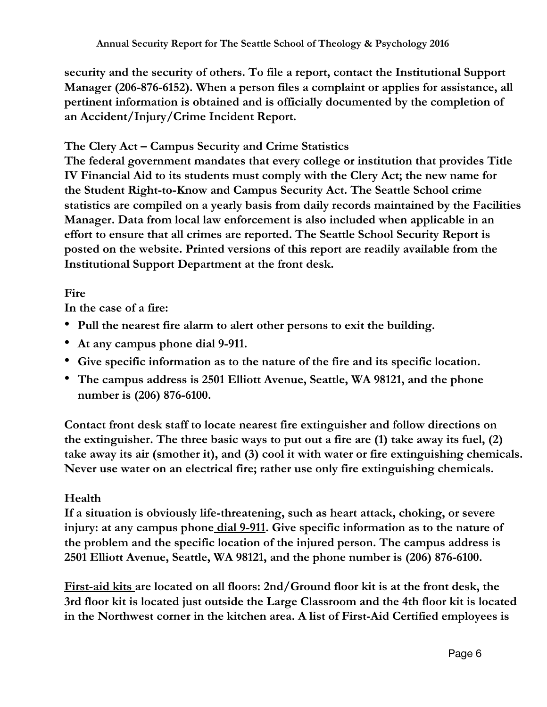**security and the security of others. To file a report, contact the Institutional Support Manager (206-876-6152). When a person files a complaint or applies for assistance, all pertinent information is obtained and is officially documented by the completion of an Accident/Injury/Crime Incident Report.**

## **The Clery Act – Campus Security and Crime Statistics**

**The federal government mandates that every college or institution that provides Title IV Financial Aid to its students must comply with the Clery Act; the new name for the Student Right-to-Know and Campus Security Act. The Seattle School crime statistics are compiled on a yearly basis from daily records maintained by the Facilities Manager. Data from local law enforcement is also included when applicable in an effort to ensure that all crimes are reported. The Seattle School Security Report is posted on the website. Printed versions of this report are readily available from the Institutional Support Department at the front desk.**

## **Fire**

**In the case of a fire:**

- **Pull the nearest fire alarm to alert other persons to exit the building.**
- **At any campus phone dial 9-911.**
- **Give specific information as to the nature of the fire and its specific location.**
- **The campus address is 2501 Elliott Avenue, Seattle, WA 98121, and the phone number is (206) 876-6100.**

**Contact front desk staff to locate nearest fire extinguisher and follow directions on the extinguisher. The three basic ways to put out a fire are (1) take away its fuel, (2) take away its air (smother it), and (3) cool it with water or fire extinguishing chemicals. Never use water on an electrical fire; rather use only fire extinguishing chemicals.**

## **Health**

**If a situation is obviously life-threatening, such as heart attack, choking, or severe injury: at any campus phone dial 9-911. Give specific information as to the nature of the problem and the specific location of the injured person. The campus address is 2501 Elliott Avenue, Seattle, WA 98121, and the phone number is (206) 876-6100.**

**First-aid kits are located on all floors: 2nd/Ground floor kit is at the front desk, the 3rd floor kit is located just outside the Large Classroom and the 4th floor kit is located in the Northwest corner in the kitchen area. A list of First-Aid Certified employees is**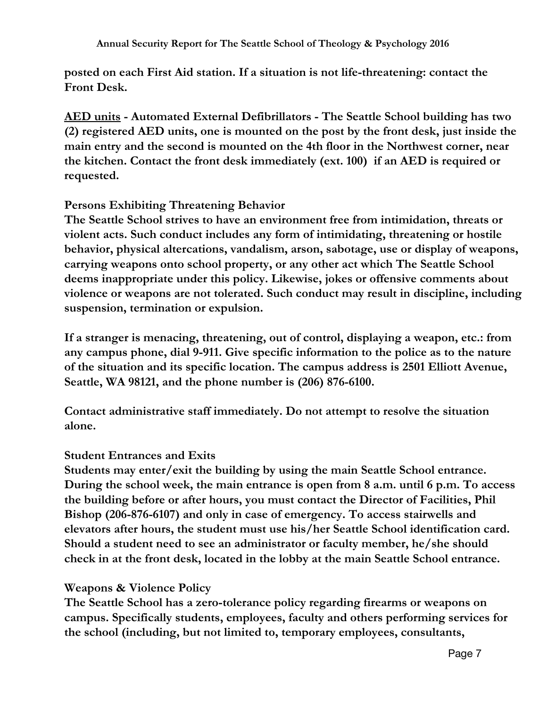**posted on each First Aid station. If a situation is not life-threatening: contact the Front Desk.**

**AED units - Automated External Defibrillators - The Seattle School building has two (2) registered AED units, one is mounted on the post by the front desk, just inside the main entry and the second is mounted on the 4th floor in the Northwest corner, near the kitchen. Contact the front desk immediately (ext. 100) if an AED is required or requested.**

### **Persons Exhibiting Threatening Behavior**

**The Seattle School strives to have an environment free from intimidation, threats or violent acts. Such conduct includes any form of intimidating, threatening or hostile behavior, physical altercations, vandalism, arson, sabotage, use or display of weapons, carrying weapons onto school property, or any other act which The Seattle School deems inappropriate under this policy. Likewise, jokes or offensive comments about violence or weapons are not tolerated. Such conduct may result in discipline, including suspension, termination or expulsion.**

**If a stranger is menacing, threatening, out of control, displaying a weapon, etc.: from any campus phone, dial 9-911. Give specific information to the police as to the nature of the situation and its specific location. The campus address is 2501 Elliott Avenue, Seattle, WA 98121, and the phone number is (206) 876-6100.**

**Contact administrative staff immediately. Do not attempt to resolve the situation alone.**

#### **Student Entrances and Exits**

**Students may enter/exit the building by using the main Seattle School entrance. During the school week, the main entrance is open from 8 a.m. until 6 p.m. To access the building before or after hours, you must contact the Director of Facilities, Phil Bishop (206-876-6107) and only in case of emergency. To access stairwells and elevators after hours, the student must use his/her Seattle School identification card. Should a student need to see an administrator or faculty member, he/she should check in at the front desk, located in the lobby at the main Seattle School entrance.**

#### **Weapons & Violence Policy**

**The Seattle School has a zero-tolerance policy regarding firearms or weapons on campus. Specifically students, employees, faculty and others performing services for the school (including, but not limited to, temporary employees, consultants,**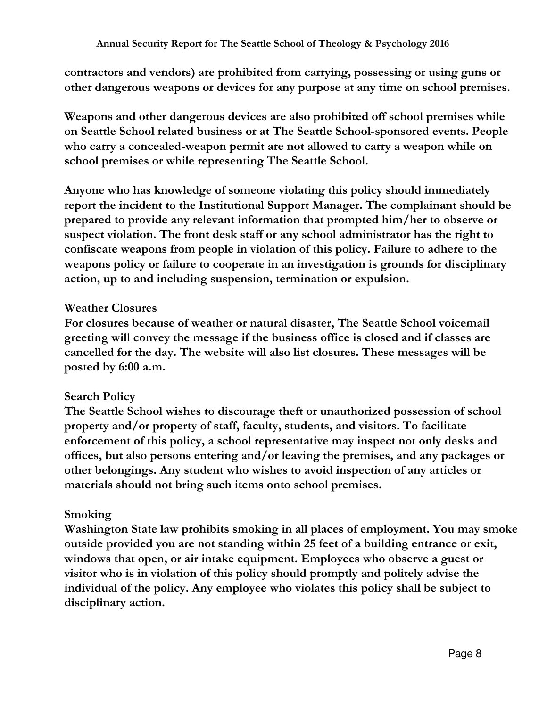**contractors and vendors) are prohibited from carrying, possessing or using guns or other dangerous weapons or devices for any purpose at any time on school premises.**

**Weapons and other dangerous devices are also prohibited off school premises while on Seattle School related business or at The Seattle School-sponsored events. People who carry a concealed-weapon permit are not allowed to carry a weapon while on school premises or while representing The Seattle School.**

**Anyone who has knowledge of someone violating this policy should immediately report the incident to the Institutional Support Manager. The complainant should be prepared to provide any relevant information that prompted him/her to observe or suspect violation. The front desk staff or any school administrator has the right to confiscate weapons from people in violation of this policy. Failure to adhere to the weapons policy or failure to cooperate in an investigation is grounds for disciplinary action, up to and including suspension, termination or expulsion.**

## **Weather Closures**

**For closures because of weather or natural disaster, The Seattle School voicemail greeting will convey the message if the business office is closed and if classes are cancelled for the day. The website will also list closures. These messages will be posted by 6:00 a.m.**

## **Search Policy**

**The Seattle School wishes to discourage theft or unauthorized possession of school property and/or property of staff, faculty, students, and visitors. To facilitate enforcement of this policy, a school representative may inspect not only desks and offices, but also persons entering and/or leaving the premises, and any packages or other belongings. Any student who wishes to avoid inspection of any articles or materials should not bring such items onto school premises.**

#### **Smoking**

**Washington State law prohibits smoking in all places of employment. You may smoke outside provided you are not standing within 25 feet of a building entrance or exit, windows that open, or air intake equipment. Employees who observe a guest or visitor who is in violation of this policy should promptly and politely advise the individual of the policy. Any employee who violates this policy shall be subject to disciplinary action.**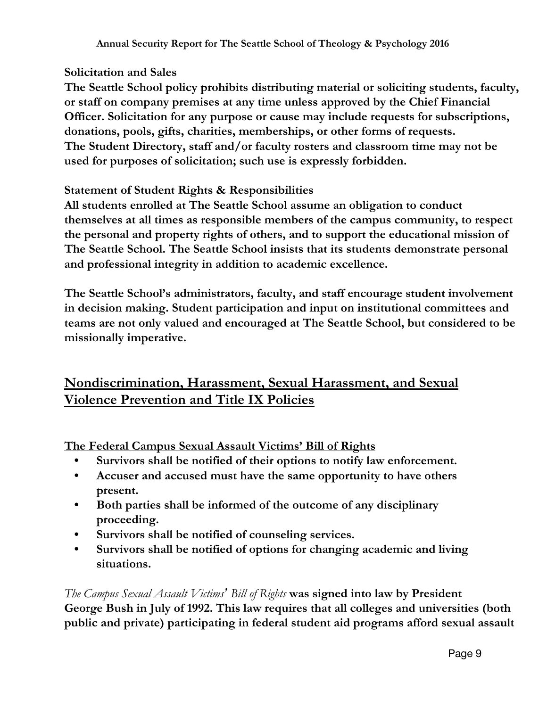## **Solicitation and Sales**

**The Seattle School policy prohibits distributing material or soliciting students, faculty, or staff on company premises at any time unless approved by the Chief Financial Officer. Solicitation for any purpose or cause may include requests for subscriptions, donations, pools, gifts, charities, memberships, or other forms of requests. The Student Directory, staff and/or faculty rosters and classroom time may not be used for purposes of solicitation; such use is expressly forbidden.**

### **Statement of Student Rights & Responsibilities**

**All students enrolled at The Seattle School assume an obligation to conduct themselves at all times as responsible members of the campus community, to respect the personal and property rights of others, and to support the educational mission of The Seattle School. The Seattle School insists that its students demonstrate personal and professional integrity in addition to academic excellence.**

**The Seattle School's administrators, faculty, and staff encourage student involvement in decision making. Student participation and input on institutional committees and teams are not only valued and encouraged at The Seattle School, but considered to be missionally imperative.**

# **Nondiscrimination, Harassment, Sexual Harassment, and Sexual Violence Prevention and Title IX Policies**

**The Federal Campus Sexual Assault Victims' Bill of Rights**

- **• Survivors shall be notified of their options to notify law enforcement.**
- **• Accuser and accused must have the same opportunity to have others present.**
- **• Both parties shall be informed of the outcome of any disciplinary proceeding.**
- **• Survivors shall be notified of counseling services.**
- **• Survivors shall be notified of options for changing academic and living situations.**

*The Campus Sexual Assault Victims' Bill of Rights* **was signed into law by President George Bush in July of 1992. This law requires that all colleges and universities (both public and private) participating in federal student aid programs afford sexual assault**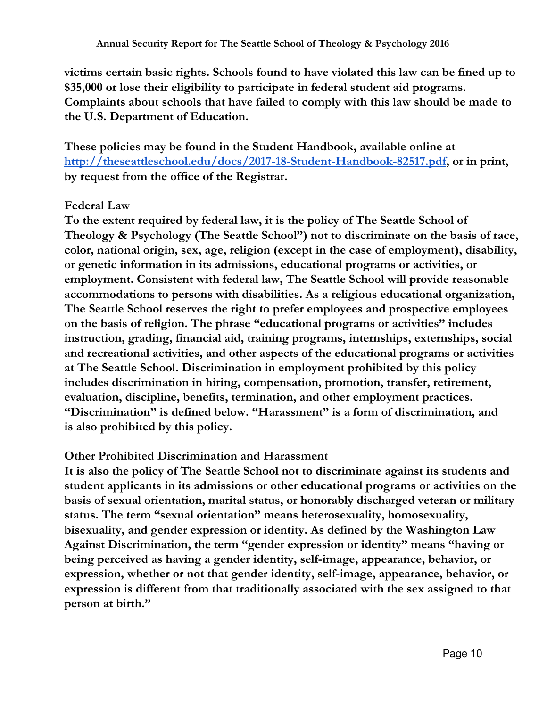**victims certain basic rights. Schools found to have violated this law can be fined up to \$35,000 or lose their eligibility to participate in federal student aid programs. Complaints about schools that have failed to comply with this law should be made to the U.S. Department of Education.**

**These policies may be found in the Student Handbook, available online at [http://theseattleschool.edu/docs/2017-18-Student-Handbook-82517.pdf,](http://theseattleschool.edu/docs/2017-18-Student-Handbook-82517.pdf) or in print, by request from the office of the Registrar.**

## **Federal Law**

**To the extent required by federal law, it is the policy of The Seattle School of Theology & Psychology (The Seattle School") not to discriminate on the basis of race, color, national origin, sex, age, religion (except in the case of employment), disability, or genetic information in its admissions, educational programs or activities, or employment. Consistent with federal law, The Seattle School will provide reasonable accommodations to persons with disabilities. As a religious educational organization, The Seattle School reserves the right to prefer employees and prospective employees on the basis of religion. The phrase "educational programs or activities" includes instruction, grading, financial aid, training programs, internships, externships, social and recreational activities, and other aspects of the educational programs or activities at The Seattle School. Discrimination in employment prohibited by this policy includes discrimination in hiring, compensation, promotion, transfer, retirement, evaluation, discipline, benefits, termination, and other employment practices. "Discrimination" is defined below. "Harassment" is a form of discrimination, and is also prohibited by this policy.**

#### **Other Prohibited Discrimination and Harassment**

**It is also the policy of The Seattle School not to discriminate against its students and student applicants in its admissions or other educational programs or activities on the basis of sexual orientation, marital status, or honorably discharged veteran or military status. The term "sexual orientation" means heterosexuality, homosexuality, bisexuality, and gender expression or identity. As defined by the Washington Law Against Discrimination, the term "gender expression or identity" means "having or being perceived as having a gender identity, self-image, appearance, behavior, or expression, whether or not that gender identity, self-image, appearance, behavior, or expression is different from that traditionally associated with the sex assigned to that person at birth."**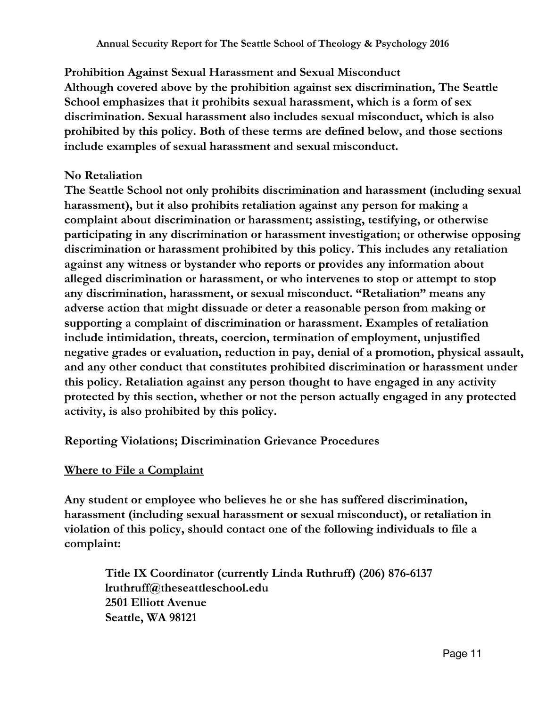**Prohibition Against Sexual Harassment and Sexual Misconduct Although covered above by the prohibition against sex discrimination, The Seattle School emphasizes that it prohibits sexual harassment, which is a form of sex discrimination. Sexual harassment also includes sexual misconduct, which is also prohibited by this policy. Both of these terms are defined below, and those sections include examples of sexual harassment and sexual misconduct.**

## **No Retaliation**

**The Seattle School not only prohibits discrimination and harassment (including sexual harassment), but it also prohibits retaliation against any person for making a complaint about discrimination or harassment; assisting, testifying, or otherwise participating in any discrimination or harassment investigation; or otherwise opposing discrimination or harassment prohibited by this policy. This includes any retaliation against any witness or bystander who reports or provides any information about alleged discrimination or harassment, or who intervenes to stop or attempt to stop any discrimination, harassment, or sexual misconduct. "Retaliation" means any adverse action that might dissuade or deter a reasonable person from making or supporting a complaint of discrimination or harassment. Examples of retaliation include intimidation, threats, coercion, termination of employment, unjustified negative grades or evaluation, reduction in pay, denial of a promotion, physical assault, and any other conduct that constitutes prohibited discrimination or harassment under this policy. Retaliation against any person thought to have engaged in any activity protected by this section, whether or not the person actually engaged in any protected activity, is also prohibited by this policy.**

## **Reporting Violations; Discrimination Grievance Procedures**

## **Where to File a Complaint**

**Any student or employee who believes he or she has suffered discrimination, harassment (including sexual harassment or sexual misconduct), or retaliation in violation of this policy, should contact one of the following individuals to file a complaint:**

**Title IX Coordinator (currently Linda Ruthruff) (206) 876-6137 lruthruff@theseattleschool.edu 2501 Elliott Avenue Seattle, WA 98121**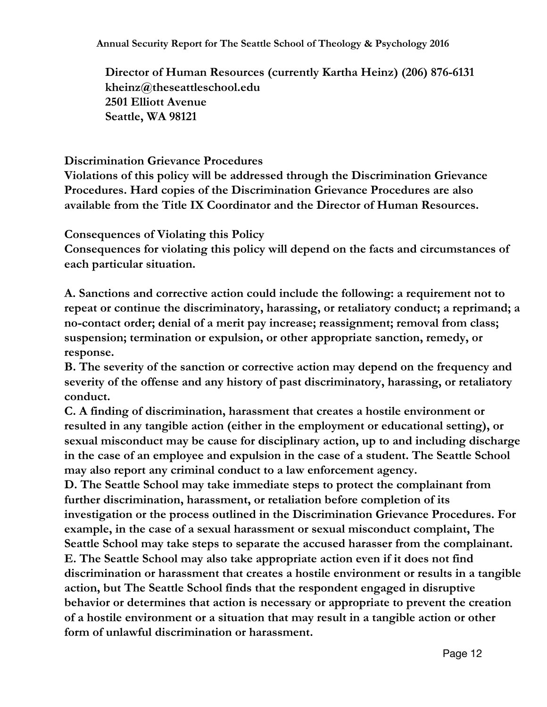**Annual Security Report for The Seattle School of Theology & Psychology 2016**

**Director of Human Resources (currently Kartha Heinz) (206) 876-6131 kheinz@theseattleschool.edu 2501 Elliott Avenue Seattle, WA 98121**

#### **Discrimination Grievance Procedures**

**Violations of this policy will be addressed through the Discrimination Grievance Procedures. Hard copies of the Discrimination Grievance Procedures are also available from the Title IX Coordinator and the Director of Human Resources.**

**Consequences of Violating this Policy**

**Consequences for violating this policy will depend on the facts and circumstances of each particular situation.**

**A. Sanctions and corrective action could include the following: a requirement not to repeat or continue the discriminatory, harassing, or retaliatory conduct; a reprimand; a no-contact order; denial of a merit pay increase; reassignment; removal from class; suspension; termination or expulsion, or other appropriate sanction, remedy, or response.**

**B. The severity of the sanction or corrective action may depend on the frequency and severity of the offense and any history of past discriminatory, harassing, or retaliatory conduct.**

**C. A finding of discrimination, harassment that creates a hostile environment or resulted in any tangible action (either in the employment or educational setting), or sexual misconduct may be cause for disciplinary action, up to and including discharge in the case of an employee and expulsion in the case of a student. The Seattle School may also report any criminal conduct to a law enforcement agency.**

**D. The Seattle School may take immediate steps to protect the complainant from further discrimination, harassment, or retaliation before completion of its investigation or the process outlined in the Discrimination Grievance Procedures. For example, in the case of a sexual harassment or sexual misconduct complaint, The Seattle School may take steps to separate the accused harasser from the complainant. E. The Seattle School may also take appropriate action even if it does not find discrimination or harassment that creates a hostile environment or results in a tangible action, but The Seattle School finds that the respondent engaged in disruptive behavior or determines that action is necessary or appropriate to prevent the creation of a hostile environment or a situation that may result in a tangible action or other form of unlawful discrimination or harassment.**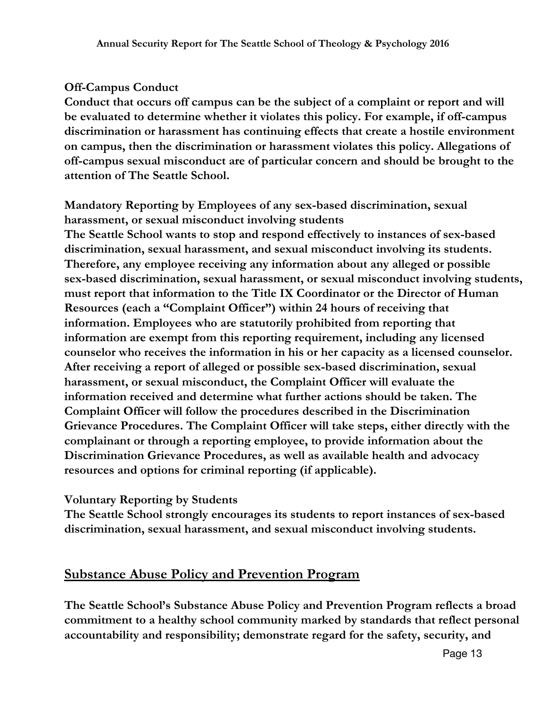## **Off-Campus Conduct**

**Conduct that occurs off campus can be the subject of a complaint or report and will be evaluated to determine whether it violates this policy. For example, if off-campus discrimination or harassment has continuing effects that create a hostile environment on campus, then the discrimination or harassment violates this policy. Allegations of off-campus sexual misconduct are of particular concern and should be brought to the attention of The Seattle School.**

**Mandatory Reporting by Employees of any sex-based discrimination, sexual harassment, or sexual misconduct involving students The Seattle School wants to stop and respond effectively to instances of sex-based discrimination, sexual harassment, and sexual misconduct involving its students. Therefore, any employee receiving any information about any alleged or possible sex-based discrimination, sexual harassment, or sexual misconduct involving students, must report that information to the Title IX Coordinator or the Director of Human Resources (each a "Complaint Officer") within 24 hours of receiving that information. Employees who are statutorily prohibited from reporting that information are exempt from this reporting requirement, including any licensed counselor who receives the information in his or her capacity as a licensed counselor. After receiving a report of alleged or possible sex-based discrimination, sexual harassment, or sexual misconduct, the Complaint Officer will evaluate the information received and determine what further actions should be taken. The Complaint Officer will follow the procedures described in the Discrimination Grievance Procedures. The Complaint Officer will take steps, either directly with the complainant or through a reporting employee, to provide information about the Discrimination Grievance Procedures, as well as available health and advocacy resources and options for criminal reporting (if applicable).**

#### **Voluntary Reporting by Students**

**The Seattle School strongly encourages its students to report instances of sex-based discrimination, sexual harassment, and sexual misconduct involving students.**

## **Substance Abuse Policy and Prevention Program**

**The Seattle School's Substance Abuse Policy and Prevention Program reflects a broad commitment to a healthy school community marked by standards that reflect personal accountability and responsibility; demonstrate regard for the safety, security, and**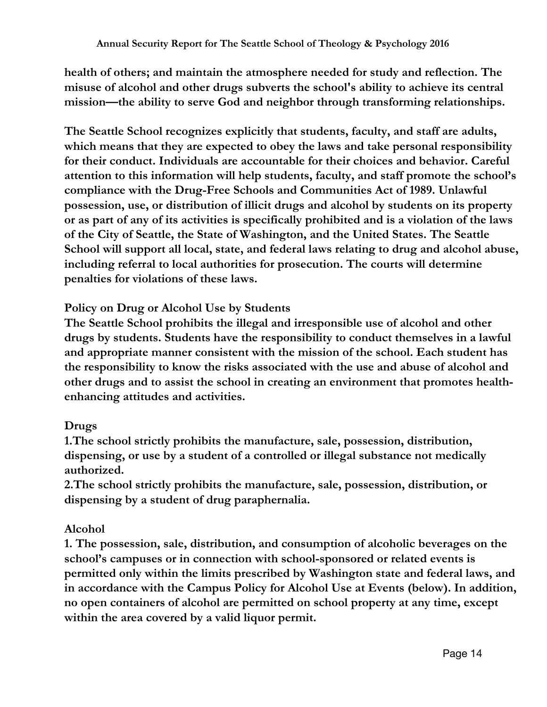**health of others; and maintain the atmosphere needed for study and reflection. The misuse of alcohol and other drugs subverts the school's ability to achieve its central mission—the ability to serve God and neighbor through transforming relationships.**

**The Seattle School recognizes explicitly that students, faculty, and staff are adults, which means that they are expected to obey the laws and take personal responsibility for their conduct. Individuals are accountable for their choices and behavior. Careful attention to this information will help students, faculty, and staff promote the school's compliance with the Drug-Free Schools and Communities Act of 1989. Unlawful possession, use, or distribution of illicit drugs and alcohol by students on its property or as part of any of its activities is specifically prohibited and is a violation of the laws of the City of Seattle, the State of Washington, and the United States. The Seattle School will support all local, state, and federal laws relating to drug and alcohol abuse, including referral to local authorities for prosecution. The courts will determine penalties for violations of these laws.**

## **Policy on Drug or Alcohol Use by Students**

**The Seattle School prohibits the illegal and irresponsible use of alcohol and other drugs by students. Students have the responsibility to conduct themselves in a lawful and appropriate manner consistent with the mission of the school. Each student has the responsibility to know the risks associated with the use and abuse of alcohol and other drugs and to assist the school in creating an environment that promotes healthenhancing attitudes and activities.**

## **Drugs**

**1.The school strictly prohibits the manufacture, sale, possession, distribution, dispensing, or use by a student of a controlled or illegal substance not medically authorized.**

**2.The school strictly prohibits the manufacture, sale, possession, distribution, or dispensing by a student of drug paraphernalia.**

## **Alcohol**

**1. The possession, sale, distribution, and consumption of alcoholic beverages on the school's campuses or in connection with school-sponsored or related events is permitted only within the limits prescribed by Washington state and federal laws, and in accordance with the Campus Policy for Alcohol Use at Events (below). In addition, no open containers of alcohol are permitted on school property at any time, except within the area covered by a valid liquor permit.**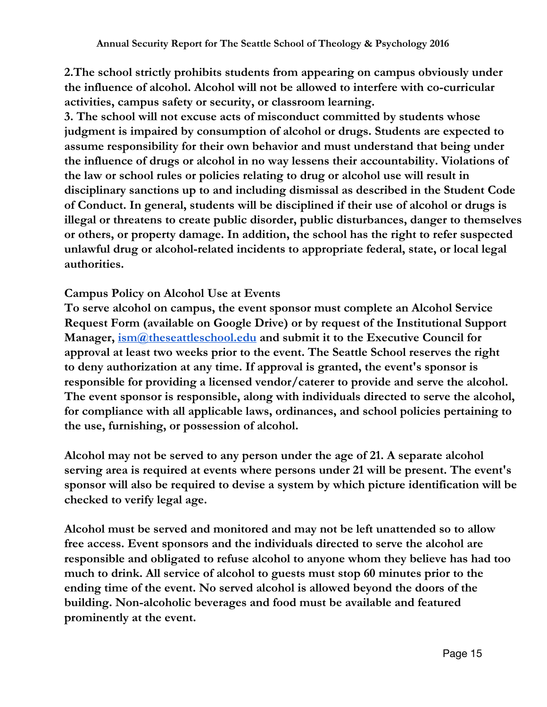**2.The school strictly prohibits students from appearing on campus obviously under the influence of alcohol. Alcohol will not be allowed to interfere with co-curricular activities, campus safety or security, or classroom learning.**

**3. The school will not excuse acts of misconduct committed by students whose judgment is impaired by consumption of alcohol or drugs. Students are expected to assume responsibility for their own behavior and must understand that being under the influence of drugs or alcohol in no way lessens their accountability. Violations of the law or school rules or policies relating to drug or alcohol use will result in disciplinary sanctions up to and including dismissal as described in the Student Code of Conduct. In general, students will be disciplined if their use of alcohol or drugs is illegal or threatens to create public disorder, public disturbances, danger to themselves or others, or property damage. In addition, the school has the right to refer suspected unlawful drug or alcohol-related incidents to appropriate federal, state, or local legal authorities.**

#### **Campus Policy on Alcohol Use at Events**

**To serve alcohol on campus, the event sponsor must complete an Alcohol Service Request Form (available on Google Drive) or by request of the Institutional Support Manager, [ism@theseattleschool.edu](mailto:ism@theseattleschool.edu) and submit it to the Executive Council for approval at least two weeks prior to the event. The Seattle School reserves the right to deny authorization at any time. If approval is granted, the event's sponsor is responsible for providing a licensed vendor/caterer to provide and serve the alcohol. The event sponsor is responsible, along with individuals directed to serve the alcohol, for compliance with all applicable laws, ordinances, and school policies pertaining to the use, furnishing, or possession of alcohol.**

**Alcohol may not be served to any person under the age of 21. A separate alcohol serving area is required at events where persons under 21 will be present. The event's sponsor will also be required to devise a system by which picture identification will be checked to verify legal age.**

**Alcohol must be served and monitored and may not be left unattended so to allow free access. Event sponsors and the individuals directed to serve the alcohol are responsible and obligated to refuse alcohol to anyone whom they believe has had too much to drink. All service of alcohol to guests must stop 60 minutes prior to the ending time of the event. No served alcohol is allowed beyond the doors of the building. Non-alcoholic beverages and food must be available and featured prominently at the event.**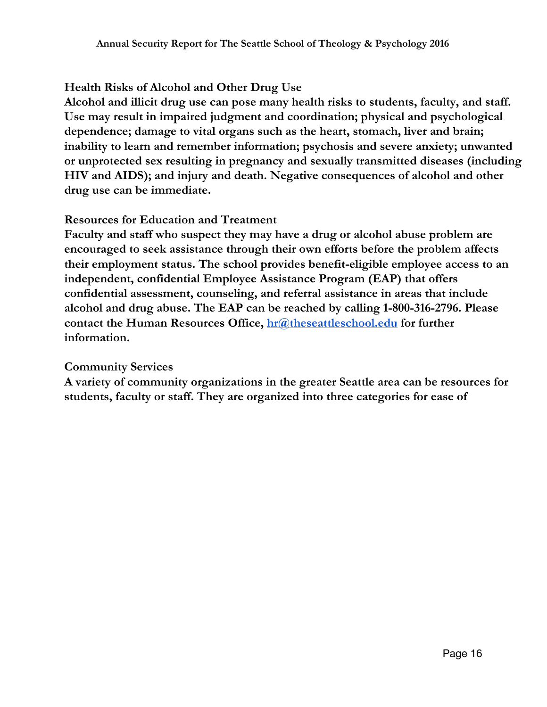## **Health Risks of Alcohol and Other Drug Use**

**Alcohol and illicit drug use can pose many health risks to students, faculty, and staff. Use may result in impaired judgment and coordination; physical and psychological dependence; damage to vital organs such as the heart, stomach, liver and brain; inability to learn and remember information; psychosis and severe anxiety; unwanted or unprotected sex resulting in pregnancy and sexually transmitted diseases (including HIV and AIDS); and injury and death. Negative consequences of alcohol and other drug use can be immediate.**

#### **Resources for Education and Treatment**

**Faculty and staff who suspect they may have a drug or alcohol abuse problem are encouraged to seek assistance through their own efforts before the problem affects their employment status. The school provides benefit-eligible employee access to an independent, confidential Employee Assistance Program (EAP) that offers confidential assessment, counseling, and referral assistance in areas that include alcohol and drug abuse. The EAP can be reached by calling 1-800-316-2796. Please contact the Human Resources Office, [hr@theseattleschool.edu](mailto:hr@theseattleschool.edu) for further information.**

#### **Community Services**

**A variety of community organizations in the greater Seattle area can be resources for students, faculty or staff. They are organized into three categories for ease of**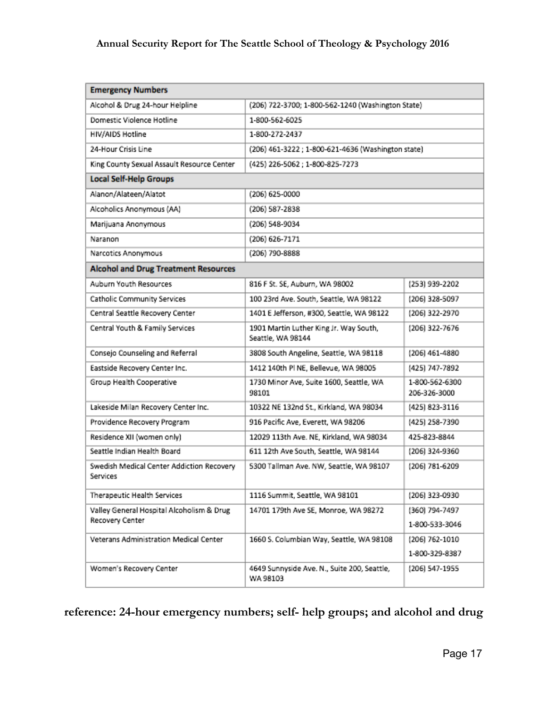### **Annual Security Report for The Seattle School of Theology & Psychology 2016**

| <b>Emergency Numbers</b>                                     |                                                             |                                  |
|--------------------------------------------------------------|-------------------------------------------------------------|----------------------------------|
| Alcohol & Drug 24-hour Helpline                              | (206) 722-3700; 1-800-562-1240 (Washington State)           |                                  |
| Domestic Violence Hotline                                    | 1-800-562-6025                                              |                                  |
| HIV/AIDS Hotline                                             | 1-800-272-2437                                              |                                  |
| 24-Hour Crisis Line                                          | (206) 461-3222; 1-800-621-4636 (Washington state)           |                                  |
| King County Sexual Assault Resource Center                   | (425) 226-5062; 1-800-825-7273                              |                                  |
| <b>Local Self-Help Groups</b>                                |                                                             |                                  |
| Alanon/Alateen/Alatot                                        | (206) 625-0000                                              |                                  |
| Alcoholics Anonymous (AA)                                    | (206) 587-2838                                              |                                  |
| Marijuana Anonymous                                          | (206) 548-9034                                              |                                  |
| Naranon                                                      | (206) 626-7171                                              |                                  |
| Narcotics Anonymous                                          | (206) 790-8888                                              |                                  |
| <b>Alcohol and Drug Treatment Resources</b>                  |                                                             |                                  |
| Auburn Youth Resources                                       | 816 F St. SE, Auburn, WA 98002                              | (253) 939-2202                   |
| Catholic Community Services                                  | 100 23rd Ave. South, Seattle, WA 98122                      | (206) 328-5097                   |
| Central Seattle Recovery Center                              | 1401 E Jefferson, #300, Seattle, WA 98122                   | (206) 322-2970                   |
| Central Youth & Family Services                              | 1901 Martin Luther King Jr. Way South,<br>Seattle, WA 98144 | (206) 322-7676                   |
| Consejo Counseling and Referral                              | 3808 South Angeline, Seattle, WA 98118<br>(206) 461-4880    |                                  |
| Eastside Recovery Center Inc.                                | 1412 140th Pl NE, Bellevue, WA 98005                        | (425) 747-7892                   |
| Group Health Cooperative                                     | 1730 Minor Ave, Suite 1600, Seattle, WA<br>98101            | 1-800-562-6300<br>206-326-3000   |
| Lakeside Milan Recovery Center Inc.                          | 10322 NE 132nd St., Kirkland, WA 98034                      | (425) 823-3116                   |
| Providence Recovery Program                                  | 916 Pacific Ave, Everett, WA 98206                          | (425) 258-7390                   |
| Residence XII (women only)                                   | 12029 113th Ave. NE, Kirkland, WA 98034                     | 425-823-8844                     |
| Seattle Indian Health Board                                  | 611 12th Ave South, Seattle, WA 98144                       | (206) 324-9360                   |
| Swedish Medical Center Addiction Recovery<br>Services        | 5300 Tallman Ave. NW, Seattle, WA 98107                     | (206) 781-6209                   |
| Therapeutic Health Services                                  | 1116 Summit, Seattle, WA 98101                              | (206) 323-0930                   |
| Valley General Hospital Alcoholism & Drug<br>Recovery Center | 14701 179th Ave SE, Monroe, WA 98272                        | (360) 794-7497<br>1-800-533-3046 |
| Veterans Administration Medical Center                       | 1660 S. Columbian Way, Seattle, WA 98108<br>(206) 762-1010  |                                  |
|                                                              |                                                             | 1-800-329-8387                   |
| Women's Recovery Center                                      | 4649 Sunnyside Ave. N., Suite 200, Seattle,<br>WA 98103     | (206) 547-1955                   |

## **reference: 24-hour emergency numbers; self- help groups; and alcohol and drug**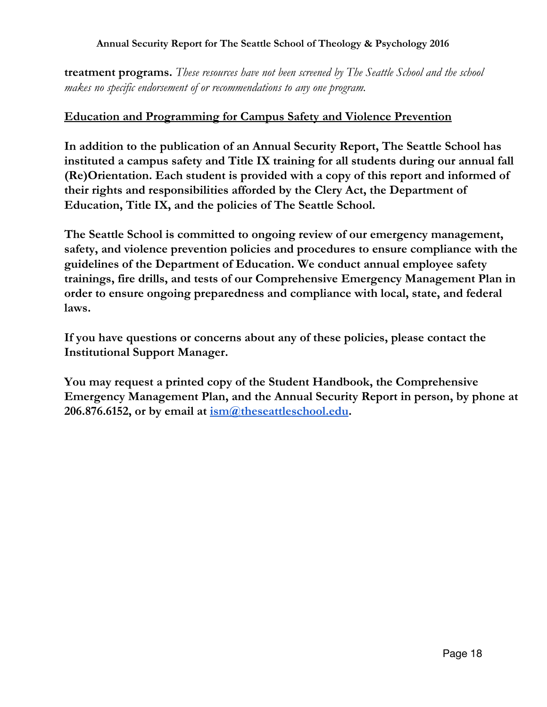#### **Annual Security Report for The Seattle School of Theology & Psychology 2016**

**treatment programs.** *These resources have not been screened by The Seattle School and the school makes no specific endorsement of or recommendations to any one program.*

#### **Education and Programming for Campus Safety and Violence Prevention**

**In addition to the publication of an Annual Security Report, The Seattle School has instituted a campus safety and Title IX training for all students during our annual fall (Re)Orientation. Each student is provided with a copy of this report and informed of their rights and responsibilities afforded by the Clery Act, the Department of Education, Title IX, and the policies of The Seattle School.**

**The Seattle School is committed to ongoing review of our emergency management, safety, and violence prevention policies and procedures to ensure compliance with the guidelines of the Department of Education. We conduct annual employee safety trainings, fire drills, and tests of our Comprehensive Emergency Management Plan in order to ensure ongoing preparedness and compliance with local, state, and federal laws.**

**If you have questions or concerns about any of these policies, please contact the Institutional Support Manager.**

**You may request a printed copy of the Student Handbook, the Comprehensive Emergency Management Plan, and the Annual Security Report in person, by phone at 206.876.6152, or by email at [ism@theseattleschool.edu.](mailto:ism@theseattleschool.edu)**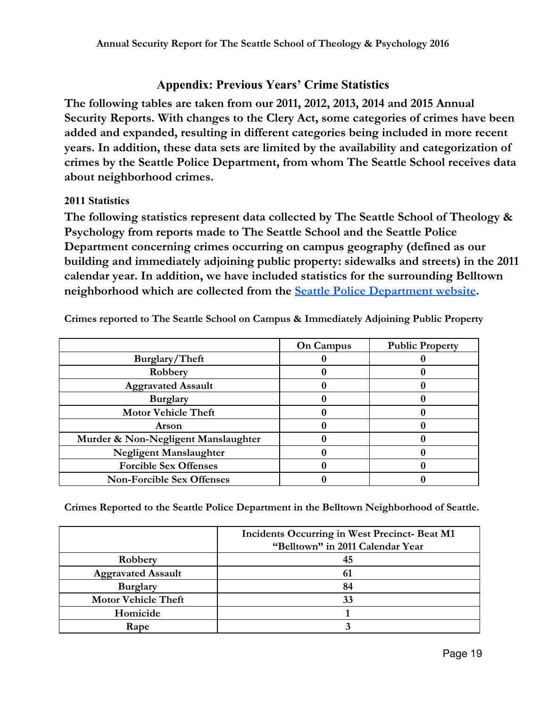## **Appendix: Previous Years' Crime Statistics**

**The following tables are taken from our 2011, 2012, 2013, 2014 and 2015 Annual Security Reports. With changes to the Clery Act, some categories of crimes have been added and expanded, resulting in different categories being included in more recent years. In addition, these data sets are limited by the availability and categorization of crimes by the Seattle Police Department, from whom The Seattle School receives data about neighborhood crimes.**

#### **2011 Statistics**

**The following statistics represent data collected by The Seattle School of Theology & Psychology from reports made to The Seattle School and the Seattle Police Department concerning crimes occurring on campus geography (defined as our building and immediately adjoining public property: sidewalks and streets) in the 2011 calendar year. In addition, we have included statistics for the surrounding Belltown neighborhood which are collected from the Seattle Police [Department](https://www.seattle.gov/police/information-and-data/crime-dashboard) website.**

|                                     | <b>On Campus</b> | <b>Public Property</b> |
|-------------------------------------|------------------|------------------------|
| Burglary/Theft                      |                  |                        |
| Robbery                             |                  |                        |
| <b>Aggravated Assault</b>           |                  |                        |
| <b>Burglary</b>                     |                  |                        |
| <b>Motor Vehicle Theft</b>          |                  |                        |
| Arson                               |                  |                        |
| Murder & Non-Negligent Manslaughter |                  |                        |
| <b>Negligent Manslaughter</b>       |                  |                        |
| <b>Forcible Sex Offenses</b>        |                  |                        |
| <b>Non-Forcible Sex Offenses</b>    |                  |                        |

**Crimes reported to The Seattle School on Campus & Immediately Adjoining Public Property**

**Crimes Reported to the Seattle Police Department in the Belltown Neighborhood of Seattle.**

|                            | Incidents Occurring in West Precinct- Beat M1<br>"Belltown" in 2011 Calendar Year |  |
|----------------------------|-----------------------------------------------------------------------------------|--|
| Robbery                    | 45                                                                                |  |
| <b>Aggravated Assault</b>  | 61                                                                                |  |
| <b>Burglary</b>            | 84                                                                                |  |
| <b>Motor Vehicle Theft</b> | 33                                                                                |  |
| Homicide                   |                                                                                   |  |
| Rape                       |                                                                                   |  |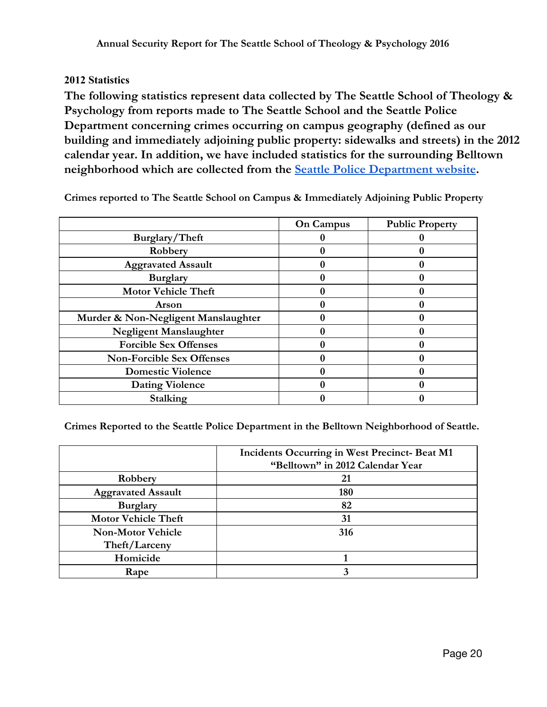#### **2012 Statistics**

**The following statistics represent data collected by The Seattle School of Theology & Psychology from reports made to The Seattle School and the Seattle Police Department concerning crimes occurring on campus geography (defined as our building and immediately adjoining public property: sidewalks and streets) in the 2012 calendar year. In addition, we have included statistics for the surrounding Belltown neighborhood which are collected from the Seattle Police [Department](https://www.seattle.gov/police/information-and-data/crime-dashboard) website.**

|                                     | <b>On Campus</b> | <b>Public Property</b> |
|-------------------------------------|------------------|------------------------|
| Burglary/Theft                      |                  |                        |
| Robbery                             |                  |                        |
| <b>Aggravated Assault</b>           |                  |                        |
| <b>Burglary</b>                     |                  |                        |
| <b>Motor Vehicle Theft</b>          |                  |                        |
| Arson                               |                  |                        |
| Murder & Non-Negligent Manslaughter |                  |                        |
| <b>Negligent Manslaughter</b>       |                  |                        |
| <b>Forcible Sex Offenses</b>        |                  |                        |
| <b>Non-Forcible Sex Offenses</b>    |                  |                        |
| <b>Domestic Violence</b>            |                  |                        |
| <b>Dating Violence</b>              |                  |                        |
| Stalking                            |                  |                        |

**Crimes reported to The Seattle School on Campus & Immediately Adjoining Public Property**

**Crimes Reported to the Seattle Police Department in the Belltown Neighborhood of Seattle.**

|                            | Incidents Occurring in West Precinct- Beat M1 |  |
|----------------------------|-----------------------------------------------|--|
|                            | "Belltown" in 2012 Calendar Year              |  |
| Robbery                    | 21                                            |  |
| <b>Aggravated Assault</b>  | 180                                           |  |
| <b>Burglary</b>            | 82                                            |  |
| <b>Motor Vehicle Theft</b> | 31                                            |  |
| <b>Non-Motor Vehicle</b>   | 316                                           |  |
| Theft/Larceny              |                                               |  |
| Homicide                   |                                               |  |
| Rape                       | 3                                             |  |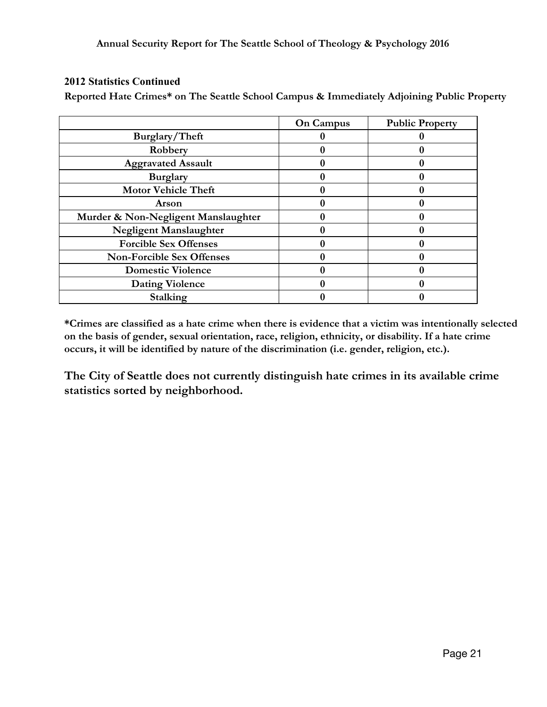#### **2012 Statistics Continued**

**Reported Hate Crimes\* on The Seattle School Campus & Immediately Adjoining Public Property**

|                                     | On Campus | <b>Public Property</b> |
|-------------------------------------|-----------|------------------------|
| Burglary/Theft                      |           |                        |
| Robbery                             |           |                        |
| <b>Aggravated Assault</b>           |           |                        |
| <b>Burglary</b>                     |           |                        |
| <b>Motor Vehicle Theft</b>          |           |                        |
| <b>Arson</b>                        |           |                        |
| Murder & Non-Negligent Manslaughter |           |                        |
| <b>Negligent Manslaughter</b>       |           |                        |
| <b>Forcible Sex Offenses</b>        |           |                        |
| <b>Non-Forcible Sex Offenses</b>    |           |                        |
| <b>Domestic Violence</b>            |           |                        |
| <b>Dating Violence</b>              |           |                        |
| Stalking                            |           |                        |

**\*Crimes are classified as a hate crime when there is evidence that a victim was intentionally selected on the basis of gender, sexual orientation, race, religion, ethnicity, or disability. If a hate crime occurs, it will be identified by nature of the discrimination (i.e. gender, religion, etc.).**

**The City of Seattle does not currently distinguish hate crimes in its available crime statistics sorted by neighborhood.**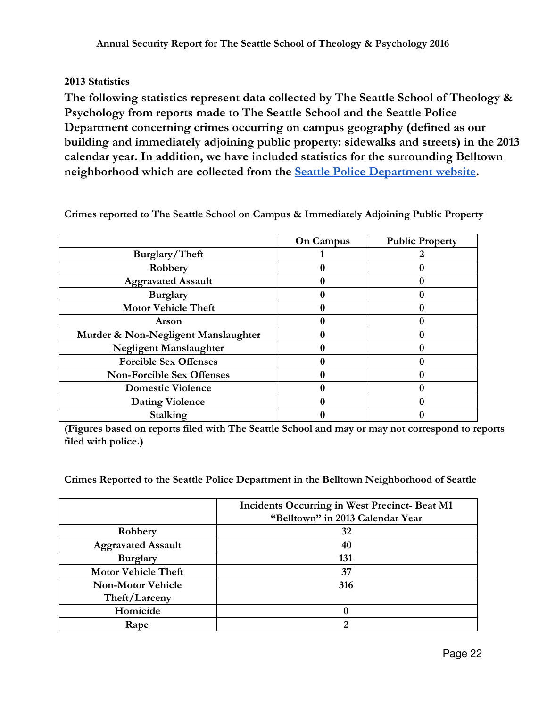#### **2013 Statistics**

**The following statistics represent data collected by The Seattle School of Theology & Psychology from reports made to The Seattle School and the Seattle Police Department concerning crimes occurring on campus geography (defined as our building and immediately adjoining public property: sidewalks and streets) in the 2013 calendar year. In addition, we have included statistics for the surrounding Belltown neighborhood which are collected from the Seattle Police [Department](https://www.seattle.gov/police/information-and-data/crime-dashboard) website.**

|                                     | On Campus | <b>Public Property</b> |
|-------------------------------------|-----------|------------------------|
| Burglary/Theft                      |           |                        |
| Robbery                             |           |                        |
| <b>Aggravated Assault</b>           |           |                        |
| <b>Burglary</b>                     |           |                        |
| <b>Motor Vehicle Theft</b>          |           |                        |
| <b>Arson</b>                        |           |                        |
| Murder & Non-Negligent Manslaughter |           |                        |
| Negligent Manslaughter              |           |                        |
| <b>Forcible Sex Offenses</b>        |           |                        |
| <b>Non-Forcible Sex Offenses</b>    |           |                        |
| <b>Domestic Violence</b>            |           |                        |
| <b>Dating Violence</b>              |           |                        |
| Stalking                            |           |                        |

**Crimes reported to The Seattle School on Campus & Immediately Adjoining Public Property**

**(Figures based on reports filed with The Seattle School and may or may not correspond to reports filed with police.)**

**Crimes Reported to the Seattle Police Department in the Belltown Neighborhood of Seattle**

|                            | Incidents Occurring in West Precinct- Beat M1<br>"Belltown" in 2013 Calendar Year |  |
|----------------------------|-----------------------------------------------------------------------------------|--|
| Robbery                    | 32                                                                                |  |
| <b>Aggravated Assault</b>  | 40                                                                                |  |
| <b>Burglary</b>            | 131                                                                               |  |
| <b>Motor Vehicle Theft</b> | 37                                                                                |  |
| <b>Non-Motor Vehicle</b>   | 316                                                                               |  |
| Theft/Larceny              |                                                                                   |  |
| Homicide                   |                                                                                   |  |
| Rape                       |                                                                                   |  |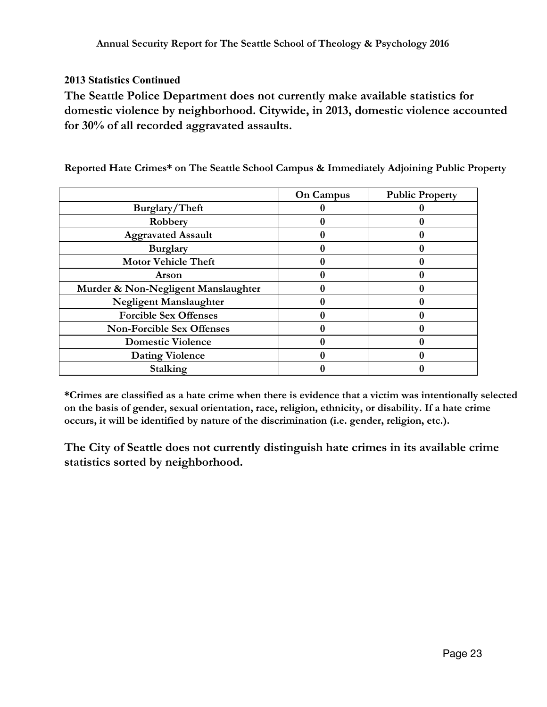#### **2013 Statistics Continued**

**The Seattle Police Department does not currently make available statistics for domestic violence by neighborhood. Citywide, in 2013, domestic violence accounted for 30% of all recorded aggravated assaults.**

|                                     | <b>On Campus</b> | <b>Public Property</b> |
|-------------------------------------|------------------|------------------------|
| Burglary/Theft                      |                  |                        |
| Robbery                             |                  |                        |
| <b>Aggravated Assault</b>           |                  |                        |
| <b>Burglary</b>                     |                  |                        |
| <b>Motor Vehicle Theft</b>          |                  |                        |
| Arson                               |                  |                        |
| Murder & Non-Negligent Manslaughter |                  |                        |
| Negligent Manslaughter              |                  |                        |
| <b>Forcible Sex Offenses</b>        |                  |                        |
| <b>Non-Forcible Sex Offenses</b>    |                  |                        |
| <b>Domestic Violence</b>            |                  |                        |
| <b>Dating Violence</b>              |                  |                        |
| Stalking                            |                  |                        |

**Reported Hate Crimes\* on The Seattle School Campus & Immediately Adjoining Public Property**

**\*Crimes are classified as a hate crime when there is evidence that a victim was intentionally selected on the basis of gender, sexual orientation, race, religion, ethnicity, or disability. If a hate crime occurs, it will be identified by nature of the discrimination (i.e. gender, religion, etc.).**

**The City of Seattle does not currently distinguish hate crimes in its available crime statistics sorted by neighborhood.**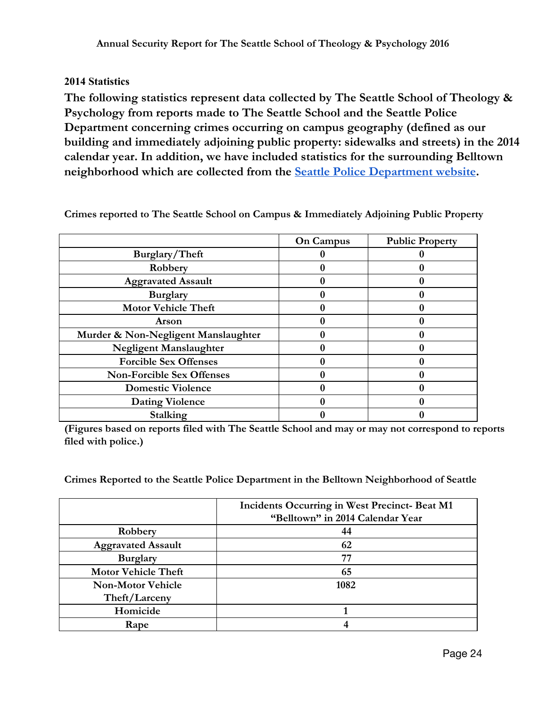#### **2014 Statistics**

**The following statistics represent data collected by The Seattle School of Theology & Psychology from reports made to The Seattle School and the Seattle Police Department concerning crimes occurring on campus geography (defined as our building and immediately adjoining public property: sidewalks and streets) in the 2014 calendar year. In addition, we have included statistics for the surrounding Belltown neighborhood which are collected from the Seattle Police [Department](https://www.seattle.gov/police/information-and-data/crime-dashboard) website.**

|                                     | On Campus | <b>Public Property</b> |
|-------------------------------------|-----------|------------------------|
| Burglary/Theft                      |           |                        |
| Robbery                             |           |                        |
| <b>Aggravated Assault</b>           |           |                        |
| <b>Burglary</b>                     |           |                        |
| <b>Motor Vehicle Theft</b>          |           |                        |
| <b>Arson</b>                        |           |                        |
| Murder & Non-Negligent Manslaughter |           |                        |
| Negligent Manslaughter              |           |                        |
| <b>Forcible Sex Offenses</b>        |           |                        |
| <b>Non-Forcible Sex Offenses</b>    |           |                        |
| <b>Domestic Violence</b>            |           |                        |
| <b>Dating Violence</b>              |           |                        |
| Stalking                            |           |                        |

**Crimes reported to The Seattle School on Campus & Immediately Adjoining Public Property**

**(Figures based on reports filed with The Seattle School and may or may not correspond to reports filed with police.)**

**Crimes Reported to the Seattle Police Department in the Belltown Neighborhood of Seattle**

|                            | Incidents Occurring in West Precinct- Beat M1<br>"Belltown" in 2014 Calendar Year |
|----------------------------|-----------------------------------------------------------------------------------|
| Robbery                    | 44                                                                                |
| <b>Aggravated Assault</b>  | 62                                                                                |
| <b>Burglary</b>            | 77                                                                                |
| <b>Motor Vehicle Theft</b> | 65                                                                                |
| <b>Non-Motor Vehicle</b>   | 1082                                                                              |
| Theft/Larceny              |                                                                                   |
| Homicide                   |                                                                                   |
| Rape                       |                                                                                   |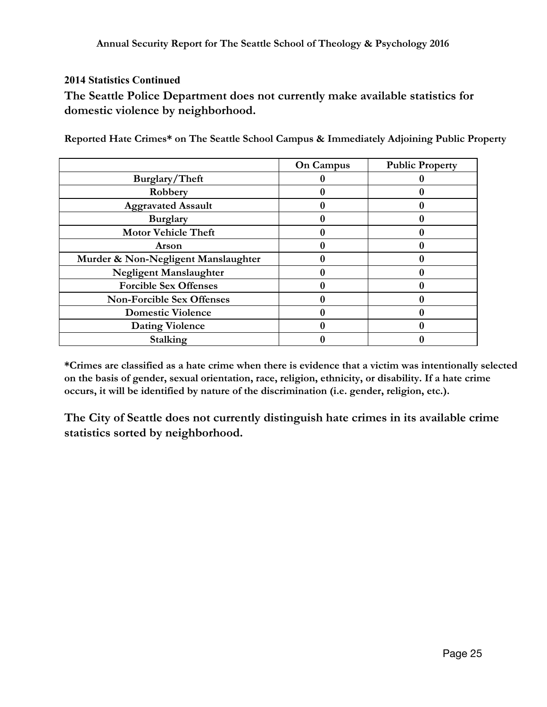#### **2014 Statistics Continued**

**The Seattle Police Department does not currently make available statistics for domestic violence by neighborhood.**

|                                     | On Campus | <b>Public Property</b> |
|-------------------------------------|-----------|------------------------|
| Burglary/Theft                      |           |                        |
| Robbery                             |           |                        |
| <b>Aggravated Assault</b>           |           |                        |
| <b>Burglary</b>                     |           |                        |
| <b>Motor Vehicle Theft</b>          |           |                        |
| Arson                               |           |                        |
| Murder & Non-Negligent Manslaughter |           |                        |
| <b>Negligent Manslaughter</b>       |           |                        |
| <b>Forcible Sex Offenses</b>        |           |                        |
| <b>Non-Forcible Sex Offenses</b>    |           |                        |
| <b>Domestic Violence</b>            |           |                        |
| <b>Dating Violence</b>              |           |                        |
| Stalking                            |           |                        |

**Reported Hate Crimes\* on The Seattle School Campus & Immediately Adjoining Public Property**

**\*Crimes are classified as a hate crime when there is evidence that a victim was intentionally selected on the basis of gender, sexual orientation, race, religion, ethnicity, or disability. If a hate crime occurs, it will be identified by nature of the discrimination (i.e. gender, religion, etc.).**

**The City of Seattle does not currently distinguish hate crimes in its available crime statistics sorted by neighborhood.**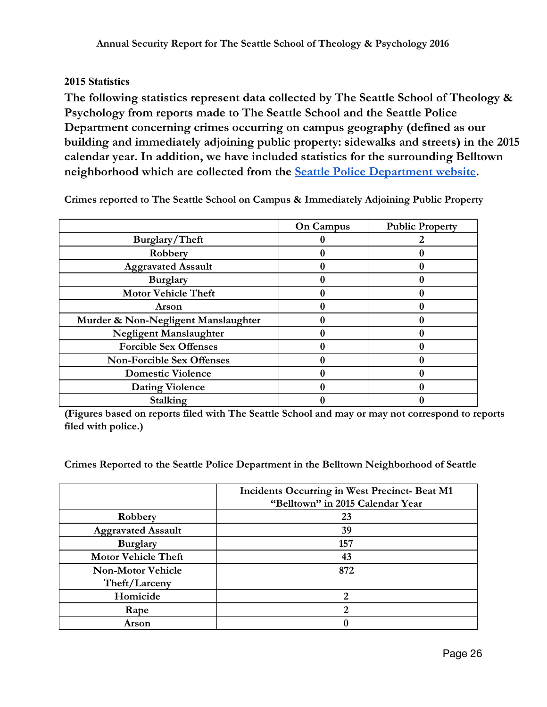#### **2015 Statistics**

**The following statistics represent data collected by The Seattle School of Theology & Psychology from reports made to The Seattle School and the Seattle Police Department concerning crimes occurring on campus geography (defined as our building and immediately adjoining public property: sidewalks and streets) in the 2015 calendar year. In addition, we have included statistics for the surrounding Belltown neighborhood which are collected from the Seattle Police [Department](https://www.seattle.gov/police/information-and-data/crime-dashboard) website.**

|                                     | <b>On Campus</b> | <b>Public Property</b> |
|-------------------------------------|------------------|------------------------|
| Burglary/Theft                      |                  |                        |
| Robbery                             |                  |                        |
| <b>Aggravated Assault</b>           |                  |                        |
| <b>Burglary</b>                     |                  |                        |
| <b>Motor Vehicle Theft</b>          |                  |                        |
| Arson                               |                  |                        |
| Murder & Non-Negligent Manslaughter |                  |                        |
| Negligent Manslaughter              |                  |                        |
| <b>Forcible Sex Offenses</b>        |                  |                        |
| <b>Non-Forcible Sex Offenses</b>    |                  |                        |
| <b>Domestic Violence</b>            |                  |                        |
| <b>Dating Violence</b>              |                  |                        |
| Stalking                            |                  |                        |

**Crimes reported to The Seattle School on Campus & Immediately Adjoining Public Property**

**(Figures based on reports filed with The Seattle School and may or may not correspond to reports filed with police.)**

**Crimes Reported to the Seattle Police Department in the Belltown Neighborhood of Seattle**

|                            | Incidents Occurring in West Precinct- Beat M1 |
|----------------------------|-----------------------------------------------|
|                            | "Belltown" in 2015 Calendar Year              |
| Robbery                    | 23                                            |
| <b>Aggravated Assault</b>  | 39                                            |
| <b>Burglary</b>            | 157                                           |
| <b>Motor Vehicle Theft</b> | 43                                            |
| <b>Non-Motor Vehicle</b>   | 872                                           |
| Theft/Larceny              |                                               |
| Homicide                   | 2                                             |
| Rape                       | റ                                             |
| Arson                      |                                               |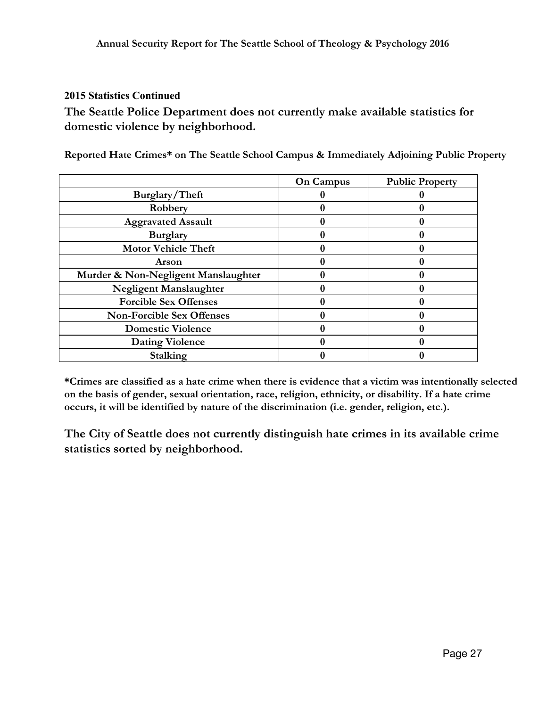#### **2015 Statistics Continued**

**The Seattle Police Department does not currently make available statistics for domestic violence by neighborhood.**

**Reported Hate Crimes\* on The Seattle School Campus & Immediately Adjoining Public Property**

|                                     | <b>On Campus</b> | <b>Public Property</b> |
|-------------------------------------|------------------|------------------------|
| Burglary/Theft                      |                  |                        |
| Robbery                             |                  |                        |
| <b>Aggravated Assault</b>           |                  |                        |
| <b>Burglary</b>                     |                  |                        |
| <b>Motor Vehicle Theft</b>          |                  |                        |
| Arson                               |                  |                        |
| Murder & Non-Negligent Manslaughter |                  |                        |
| Negligent Manslaughter              |                  |                        |
| <b>Forcible Sex Offenses</b>        |                  |                        |
| <b>Non-Forcible Sex Offenses</b>    |                  |                        |
| <b>Domestic Violence</b>            |                  |                        |
| <b>Dating Violence</b>              |                  |                        |
| Stalking                            |                  |                        |

**\*Crimes are classified as a hate crime when there is evidence that a victim was intentionally selected on the basis of gender, sexual orientation, race, religion, ethnicity, or disability. If a hate crime occurs, it will be identified by nature of the discrimination (i.e. gender, religion, etc.).**

**The City of Seattle does not currently distinguish hate crimes in its available crime statistics sorted by neighborhood.**